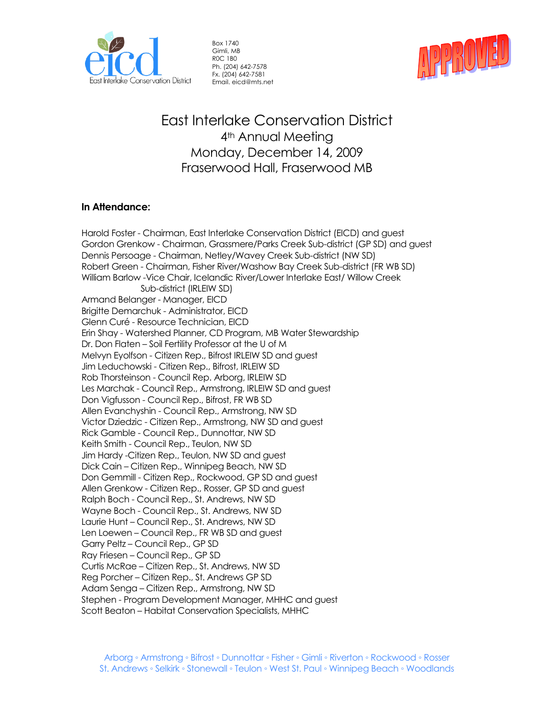

Box 1740 Gimli, MB R0C 1B0 Ph. (204) 642-7578 Fx. (204) 642-7581 Email. eicd@mts.net



## East Interlake Conservation District 4<sup>th</sup> Annual Meeting Monday, December 14, 2009 Fraserwood Hall, Fraserwood MB

## **In Attendance:**

Harold Foster - Chairman, East Interlake Conservation District (EICD) and guest Gordon Grenkow - Chairman, Grassmere/Parks Creek Sub-district (GP SD) and guest Dennis Persoage - Chairman, Netley/Wavey Creek Sub-district (NW SD) Robert Green - Chairman, Fisher River/Washow Bay Creek Sub-district (FR WB SD) William Barlow -Vice Chair, Icelandic River/Lower Interlake East/ Willow Creek Sub-district (IRLEIW SD) Armand Belanger - Manager, EICD Brigitte Demarchuk - Administrator, EICD Glenn Curé - Resource Technician, EICD Erin Shay - Watershed Planner, CD Program, MB Water Stewardship Dr. Don Flaten – Soil Fertility Professor at the U of M Melvyn Eyolfson - Citizen Rep., Bifrost IRLEIW SD and guest Jim Leduchowski - Citizen Rep., Bifrost, IRLEIW SD Rob Thorsteinson - Council Rep. Arborg, IRLEIW SD Les Marchak - Council Rep., Armstrong, IRLEIW SD and guest Don Vigfusson - Council Rep., Bifrost, FR WB SD Allen Evanchyshin - Council Rep., Armstrong, NW SD Victor Dziedzic - Citizen Rep., Armstrong, NW SD and guest Rick Gamble - Council Rep., Dunnottar, NW SD Keith Smith - Council Rep., Teulon, NW SD Jim Hardy -Citizen Rep., Teulon, NW SD and guest Dick Cain – Citizen Rep., Winnipeg Beach, NW SD Don Gemmill - Citizen Rep., Rockwood, GP SD and guest Allen Grenkow - Citizen Rep., Rosser, GP SD and guest Ralph Boch - Council Rep., St. Andrews, NW SD Wayne Boch - Council Rep., St. Andrews, NW SD Laurie Hunt – Council Rep., St. Andrews, NW SD Len Loewen – Council Rep., FR WB SD and guest Garry Peltz – Council Rep., GP SD Ray Friesen – Council Rep., GP SD Curtis McRae – Citizen Rep., St. Andrews, NW SD Reg Porcher – Citizen Rep., St. Andrews GP SD Adam Senga – Citizen Rep., Armstrong, NW SD Stephen - Program Development Manager, MHHC and guest Scott Beaton – Habitat Conservation Specialists, MHHC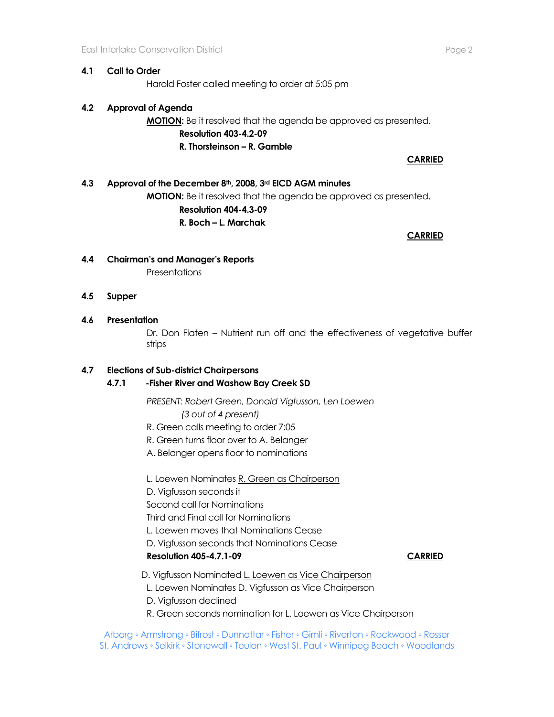## **4.1 Call to Order**

Harold Foster called meeting to order at 5:05 pm

## **4.2 Approval of Agenda**

**MOTION:** Be it resolved that the agenda be approved as presented. **Resolution 403-4.2-09 R. Thorsteinson – R. Gamble** 

**CARRIED**

## **4.3 Approval of the December 8th, 2008, 3rd EICD AGM minutes MOTION:** Be it resolved that the agenda be approved as presented. **Resolution 404-4.3-09**

**R. Boch – L. Marchak**

**CARRIED** 

# **4.4 Chairman's and Manager's Reports**

**Presentations** 

### **4.5 Supper**

## **4.6 Presentation**

Dr. Don Flaten – Nutrient run off and the effectiveness of vegetative buffer strips

## **4.7 Elections of Sub-district Chairpersons**

## **4.7.1 -Fisher River and Washow Bay Creek SD**

*PRESENT: Robert Green, Donald Vigfusson, Len Loewen (3 out of 4 present)*

R. Green calls meeting to order 7:05

R. Green turns floor over to A. Belanger

A. Belanger opens floor to nominations

L. Loewen Nominates R. Green as Chairperson

D. Vigfusson seconds it

Second call for Nominations

Third and Final call for Nominations

- L. Loewen moves that Nominations Cease
- D. Vigfusson seconds that Nominations Cease

## **Resolution 405-4.7.1-09 CARRIED**

- D. Vigfusson Nominated L. Loewen as Vice Chairperson
- L. Loewen Nominates D. Vigfusson as Vice Chairperson
- D. Vigfusson declined
- R. Green seconds nomination for L. Loewen as Vice Chairperson

Arborg ◦ Armstrong ◦ Bifrost ◦ Dunnottar ◦ Fisher ◦ Gimli ◦ Riverton ◦ Rockwood ◦ Rosser St. Andrews ◦ Selkirk ◦ Stonewall ◦ Teulon ◦ West St. Paul ◦ Winnipeg Beach ◦ Woodlands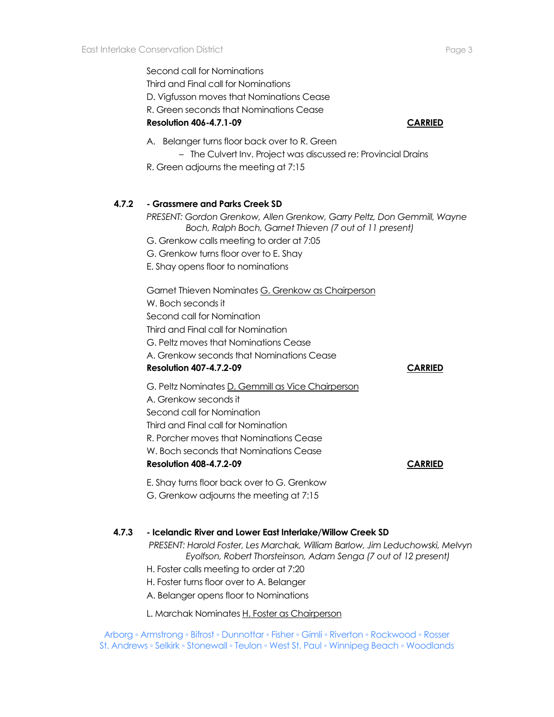Second call for Nominations Third and Final call for Nominations D. Vigfusson moves that Nominations Cease R. Green seconds that Nominations Cease **Resolution 406-4.7.1-09 CARRIED**

- A. Belanger turns floor back over to R. Green
	- The Culvert Inv. Project was discussed re: Provincial Drains
- R. Green adjourns the meeting at 7:15

## **4.7.2 - Grassmere and Parks Creek SD**

*PRESENT: Gordon Grenkow, Allen Grenkow, Garry Peltz, Don Gemmill, Wayne Boch, Ralph Boch, Garnet Thieven (7 out of 11 present)*

- G. Grenkow calls meeting to order at 7:05
- G. Grenkow turns floor over to E. Shay
- E. Shay opens floor to nominations

Garnet Thieven Nominates G. Grenkow as Chairperson W. Boch seconds it Second call for Nomination Third and Final call for Nomination G. Peltz moves that Nominations Cease A. Grenkow seconds that Nominations Cease **Resolution 407-4.7.2-09 CARRIED** G. Peltz Nominates D. Gemmill as Vice Chairperson A. Grenkow seconds it Second call for Nomination

- Third and Final call for Nomination
- R. Porcher moves that Nominations Cease
- W. Boch seconds that Nominations Cease

**Resolution 408-4.7.2-09 CARRIED**

E. Shay turns floor back over to G. Grenkow G. Grenkow adjourns the meeting at 7:15

### **4.7.3 - Icelandic River and Lower East Interlake/Willow Creek SD**

*PRESENT: Harold Foster, Les Marchak, William Barlow, Jim Leduchowski, Melvyn Eyolfson, Robert Thorsteinson, Adam Senga (7 out of 12 present)*

- H. Foster calls meeting to order at 7:20
- H. Foster turns floor over to A. Belanger
- A. Belanger opens floor to Nominations
- L. Marchak Nominates H. Foster as Chairperson

Arborg ◦ Armstrong ◦ Bifrost ◦ Dunnottar ◦ Fisher ◦ Gimli ◦ Riverton ◦ Rockwood ◦ Rosser St. Andrews ◦ Selkirk ◦ Stonewall ◦ Teulon ◦ West St. Paul ◦ Winnipeg Beach ◦ Woodlands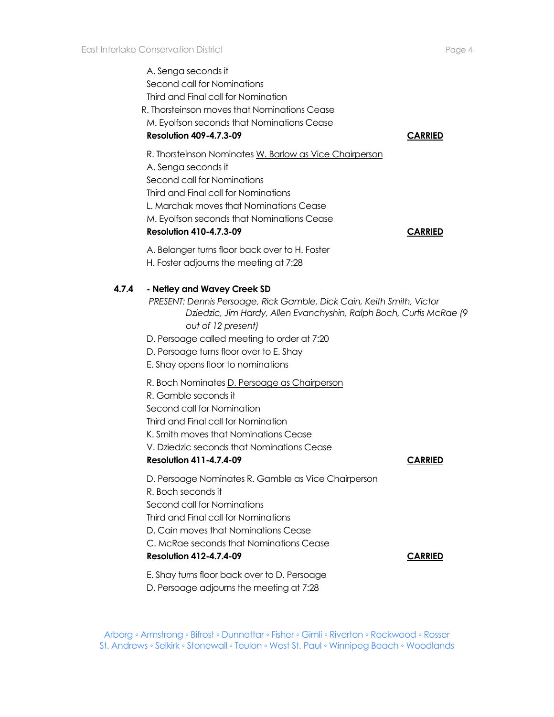A. Senga seconds it Second call for Nominations Third and Final call for Nomination R. Thorsteinson moves that Nominations Cease M. Eyolfson seconds that Nominations Cease **Resolution 409-4.7.3-09 CARRIED** R. Thorsteinson Nominates W. Barlow as Vice Chairperson A. Senga seconds it Second call for Nominations Third and Final call for Nominations L. Marchak moves that Nominations Cease M. Eyolfson seconds that Nominations Cease **Resolution 410-4.7.3-09 CARRIED** A. Belanger turns floor back over to H. Foster H. Foster adjourns the meeting at 7:28 **4.7.4 - Netley and Wavey Creek SD** *PRESENT: Dennis Persoage, Rick Gamble, Dick Cain, Keith Smith, Victor Dziedzic, Jim Hardy, Allen Evanchyshin, Ralph Boch, Curtis McRae (9 out of 12 present)* D. Persoage called meeting to order at 7:20 D. Persoage turns floor over to E. Shay E. Shay opens floor to nominations R. Boch Nominates D. Persoage as Chairperson R. Gamble seconds it Second call for Nomination Third and Final call for Nomination K. Smith moves that Nominations Cease V. Dziedzic seconds that Nominations Cease **Resolution 411-4.7.4-09 CARRIED** D. Persoage Nominates R. Gamble as Vice Chairperson R. Boch seconds it Second call for Nominations Third and Final call for Nominations D. Cain moves that Nominations Cease C. McRae seconds that Nominations Cease **Resolution 412-4.7.4-09 CARRIED** E. Shay turns floor back over to D. Persoage

D. Persoage adjourns the meeting at 7:28